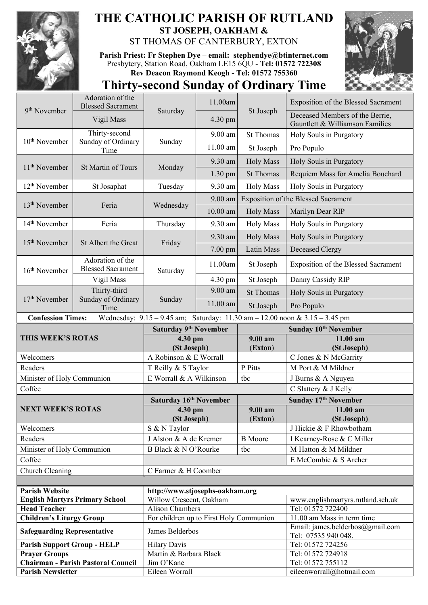

## **THE CATHOLIC PARISH OF RUTLAND ST JOSEPH, OAKHAM &**  ST THOMAS OF CANTERBURY, EXTON

**Parish Priest: Fr Stephen Dye** – **[email: stephendye@btinternet.com](mailto:email:%20%20stephendye@btinternet.com)** Presbytery, Station Road, Oakham LE15 6QU - **Tel: 01572 722308 Rev Deacon Raymond Keogh - Tel: 01572 755360**



## **Thirty-second Sunday of Ordinary Time**

| 9 <sup>th</sup> November                                                                                        | Adoration of the<br><b>Blessed Sacrament</b> | Saturday                                          | 11.00am    | St Joseph        | <b>Exposition of the Blessed Sacrament</b>                         |  |
|-----------------------------------------------------------------------------------------------------------------|----------------------------------------------|---------------------------------------------------|------------|------------------|--------------------------------------------------------------------|--|
|                                                                                                                 | Vigil Mass                                   |                                                   | 4.30 pm    |                  | Deceased Members of the Berrie,<br>Gauntlett & Williamson Families |  |
| 10 <sup>th</sup> November                                                                                       | Thirty-second                                | Sunday                                            | 9.00 am    | <b>St Thomas</b> | Holy Souls in Purgatory                                            |  |
|                                                                                                                 | Sunday of Ordinary<br>Time                   |                                                   | 11.00 am   | St Joseph        | Pro Populo                                                         |  |
| 11 <sup>th</sup> November                                                                                       | St Martin of Tours                           | Monday                                            | 9.30 am    | <b>Holy Mass</b> | Holy Souls in Purgatory                                            |  |
|                                                                                                                 |                                              |                                                   | $1.30$ pm  | <b>St Thomas</b> | Requiem Mass for Amelia Bouchard                                   |  |
| 12 <sup>th</sup> November                                                                                       | St Josaphat                                  | Tuesday                                           | 9.30 am    | <b>Holy Mass</b> | Holy Souls in Purgatory                                            |  |
| 13 <sup>th</sup> November                                                                                       | Feria                                        | Wednesday                                         | 9.00 am    |                  | Exposition of the Blessed Sacrament                                |  |
|                                                                                                                 |                                              |                                                   | $10.00$ am | <b>Holy Mass</b> | Marilyn Dear RIP                                                   |  |
| 14 <sup>th</sup> November                                                                                       | Feria                                        | Thursday                                          | 9.30 am    | <b>Holy Mass</b> | Holy Souls in Purgatory                                            |  |
|                                                                                                                 | St Albert the Great                          | Friday                                            | 9.30 am    | <b>Holy Mass</b> | Holy Souls in Purgatory                                            |  |
| 15 <sup>th</sup> November                                                                                       |                                              |                                                   | $7.00$ pm  | Latin Mass       | Deceased Clergy                                                    |  |
| 16 <sup>th</sup> November                                                                                       | Adoration of the<br><b>Blessed Sacrament</b> | Saturday                                          | 11.00am    | St Joseph        | Exposition of the Blessed Sacrament                                |  |
|                                                                                                                 | Vigil Mass                                   |                                                   | 4.30 pm    | St Joseph        | Danny Cassidy RIP                                                  |  |
| 17 <sup>th</sup> November                                                                                       | Thirty-third                                 | Sunday                                            | 9.00 am    | <b>St Thomas</b> | Holy Souls in Purgatory                                            |  |
|                                                                                                                 | Sunday of Ordinary<br>Time                   |                                                   | 11.00 am   | St Joseph        | Pro Populo                                                         |  |
| <b>Confession Times:</b><br>Wednesday: $9.15 - 9.45$ am; Saturday: $11.30$ am $- 12.00$ noon & $3.15 - 3.45$ pm |                                              |                                                   |            |                  |                                                                    |  |
|                                                                                                                 |                                              | Saturday 9th November                             |            |                  | Sunday 10 <sup>th</sup> November                                   |  |
|                                                                                                                 |                                              |                                                   |            |                  |                                                                    |  |
| THIS WEEK'S ROTAS                                                                                               |                                              | 4.30 pm                                           |            | $9.00 a$ m       | 11.00 am                                                           |  |
|                                                                                                                 |                                              | (St Joseph)                                       |            | (Exton)          | (St Joseph)                                                        |  |
| Welcomers<br>Readers                                                                                            |                                              | A Robinson & E Worrall                            |            | P Pitts          | C Jones & N McGarrity<br>M Port & M Mildner                        |  |
|                                                                                                                 |                                              | T Reilly & S Taylor<br>E Worrall & A Wilkinson    |            | tbc              |                                                                    |  |
| Minister of Holy Communion<br>Coffee                                                                            |                                              |                                                   |            |                  | J Burns & A Nguyen<br>C Slattery & J Kelly                         |  |
|                                                                                                                 |                                              | Saturday 16th November                            |            |                  | Sunday 17th November                                               |  |
| <b>NEXT WEEK'S ROTAS</b>                                                                                        |                                              | 4.30 pm                                           |            | 9.00 am          | 11.00 am                                                           |  |
|                                                                                                                 |                                              | (St Joseph)                                       |            | (Exton)          | (St Joseph)                                                        |  |
| Welcomers                                                                                                       |                                              | S & N Taylor                                      |            |                  | J Hickie & F Rhowbotham                                            |  |
| Readers                                                                                                         |                                              | J Alston & A de Kremer                            |            | <b>B</b> Moore   | I Kearney-Rose & C Miller                                          |  |
| Minister of Holy Communion                                                                                      |                                              | B Black & N O'Rourke                              |            | tbc              | M Hatton & M Mildner                                               |  |
| Coffee                                                                                                          |                                              |                                                   |            |                  | E McCombie & S Archer                                              |  |
| Church Cleaning                                                                                                 |                                              | C Farmer & H Coomber                              |            |                  |                                                                    |  |
|                                                                                                                 |                                              |                                                   |            |                  |                                                                    |  |
| <b>Parish Website</b>                                                                                           |                                              | http://www.stjosephs-oakham.org                   |            |                  |                                                                    |  |
| <b>Head Teacher</b>                                                                                             | <b>English Martyrs Primary School</b>        | Willow Crescent, Oakham<br><b>Alison Chambers</b> |            |                  | www.englishmartyrs.rutland.sch.uk<br>Tel: 01572 722400             |  |
| <b>Children's Liturgy Group</b>                                                                                 |                                              | For children up to First Holy Communion           |            |                  | 11.00 am Mass in term time                                         |  |
| <b>Safeguarding Representative</b>                                                                              |                                              | James Belderbos                                   |            |                  | Email: james.belderbos@gmail.com<br>Tel: 07535 940 048.            |  |
| <b>Parish Support Group - HELP</b>                                                                              |                                              | <b>Hilary Davis</b>                               |            |                  | Tel: 01572 724256                                                  |  |
| <b>Prayer Groups</b>                                                                                            |                                              | Martin & Barbara Black                            |            |                  | Tel: 01572 724918                                                  |  |
| <b>Parish Newsletter</b>                                                                                        | <b>Chairman - Parish Pastoral Council</b>    | Jim O'Kane<br>Eileen Worrall                      |            |                  | Tel: 01572 755112<br>eileenworrall@hotmail.com                     |  |